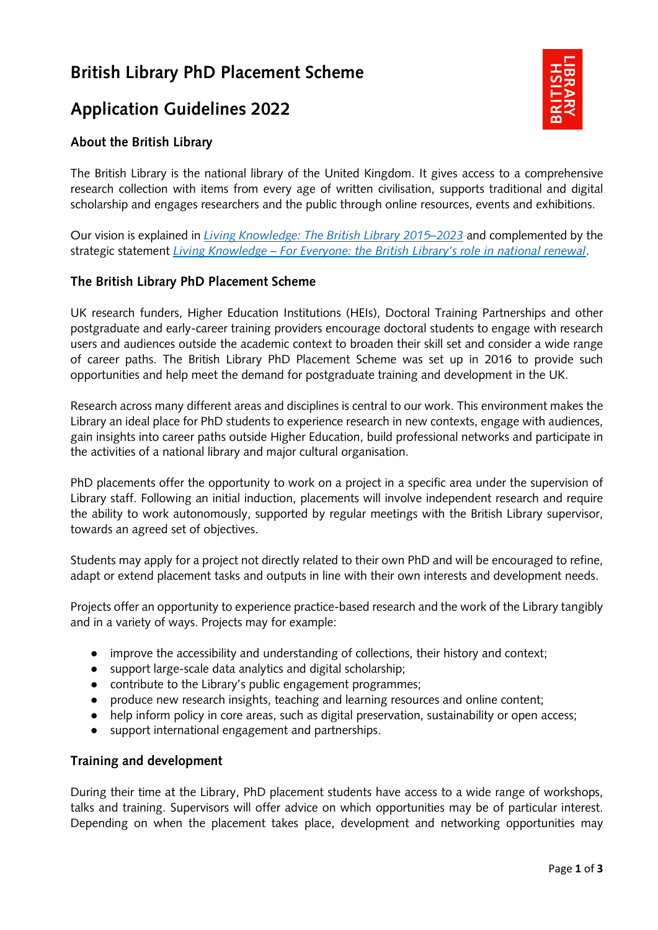# **British Library PhD Placement Scheme**

## **Application Guidelines 2022**



## **About the British Library**

The British Library is the national library of the United Kingdom. It gives access to a comprehensive research collection with items from every age of written civilisation, supports traditional and digital scholarship and engages researchers and the public through online resources, events and exhibitions.

Our vision is explained in *[Living Knowledge: The British Library 2015–2023](https://www.bl.uk/britishlibrary/%7E/media/bl/global/about%20us/corporate%20policies/living%20knowledge.pdf?la=en&hash=4EF6FA14986E0A9212C16D655489EBB6)* and complemented by the strategic statement *Living Knowledge – For Everyone: [the British Library's role in national renewal](https://www.bl.uk/britishlibrary/%7E/media/bl/global/about%20us/vision/living%20knowledge_for%20everyone_oct_2020.pdf?la=en&hash=CFA436F86789151E826A7CB05E55D8CD)*.

#### **The British Library PhD Placement Scheme**

UK research funders, Higher Education Institutions (HEIs), Doctoral Training Partnerships and other postgraduate and early-career training providers encourage doctoral students to engage with research users and audiences outside the academic context to broaden their skill set and consider a wide range of career paths. The British Library PhD Placement Scheme was set up in 2016 to provide such opportunities and help meet the demand for postgraduate training and development in the UK.

Research across many different areas and disciplines is central to our work. This environment makes the Library an ideal place for PhD students to experience research in new contexts, engage with audiences, gain insights into career paths outside Higher Education, build professional networks and participate in the activities of a national library and major cultural organisation.

PhD placements offer the opportunity to work on a project in a specific area under the supervision of Library staff. Following an initial induction, placements will involve independent research and require the ability to work autonomously, supported by regular meetings with the British Library supervisor, towards an agreed set of objectives.

Students may apply for a project not directly related to their own PhD and will be encouraged to refine, adapt or extend placement tasks and outputs in line with their own interests and development needs.

Projects offer an opportunity to experience practice-based research and the work of the Library tangibly and in a variety of ways. Projects may for example:

- improve the accessibility and understanding of collections, their history and context;
- support large-scale data analytics and digital scholarship;
- contribute to the Library's public engagement programmes;
- produce new research insights, teaching and learning resources and online content;
- help inform policy in core areas, such as digital preservation, sustainability or open access;
- support international engagement and partnerships.

#### **Training and development**

During their time at the Library, PhD placement students have access to a wide range of workshops, talks and training. Supervisors will offer advice on which opportunities may be of particular interest. Depending on when the placement takes place, development and networking opportunities may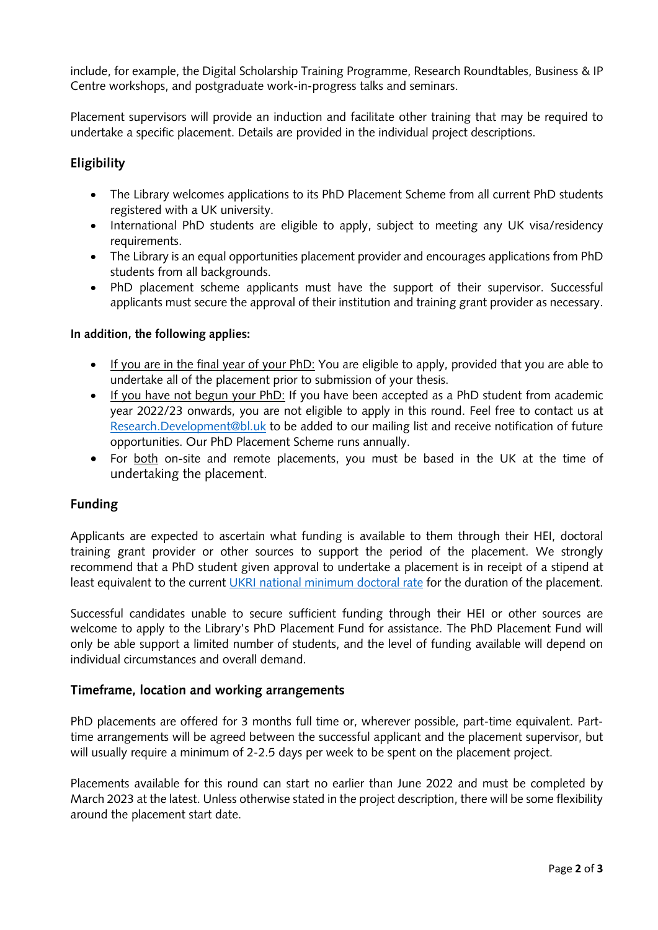include, for example, the Digital Scholarship Training Programme, Research Roundtables, Business & IP Centre workshops, and postgraduate work-in-progress talks and seminars.

Placement supervisors will provide an induction and facilitate other training that may be required to undertake a specific placement. Details are provided in the individual project descriptions.

### **Eligibility**

- The Library welcomes applications to its PhD Placement Scheme from all current PhD students registered with a UK university.
- International PhD students are eligible to apply, subject to meeting any UK visa/residency requirements.
- The Library is an equal opportunities placement provider and encourages applications from PhD students from all backgrounds.
- PhD placement scheme applicants must have the support of their supervisor. Successful applicants must secure the approval of their institution and training grant provider as necessary.

#### **In addition, the following applies:**

- If you are in the final year of your PhD: You are eligible to apply, provided that you are able to undertake all of the placement prior to submission of your thesis.
- If you have not begun your PhD: If you have been accepted as a PhD student from academic year 2022/23 onwards, you are not eligible to apply in this round. Feel free to contact us at [Research.Development@bl.uk](mailto:Research.Development@bl.uk) to be added to our mailing list and receive notification of future opportunities. Our PhD Placement Scheme runs annually.
- For both on**-**site and remote placements, you must be based in the UK at the time of undertaking the placement.

#### **Funding**

Applicants are expected to ascertain what funding is available to them through their HEI, doctoral training grant provider or other sources to support the period of the placement. We strongly recommend that a PhD student given approval to undertake a placement is in receipt of a stipend at least equivalent to the current [UKRI national minimum doctoral rate](https://www.ukri.org/our-work/developing-people-and-skills/find-studentships-and-doctoral-training/get-a-studentship-to-fund-your-doctorate/) for the duration of the placement.

Successful candidates unable to secure sufficient funding through their HEI or other sources are welcome to apply to the Library's PhD Placement Fund for assistance. The PhD Placement Fund will only be able support a limited number of students, and the level of funding available will depend on individual circumstances and overall demand.

#### **Timeframe, location and working arrangements**

PhD placements are offered for 3 months full time or, wherever possible, part-time equivalent. Parttime arrangements will be agreed between the successful applicant and the placement supervisor, but will usually require a minimum of 2-2.5 days per week to be spent on the placement project.

Placements available for this round can start no earlier than June 2022 and must be completed by March 2023 at the latest. Unless otherwise stated in the project description, there will be some flexibility around the placement start date.